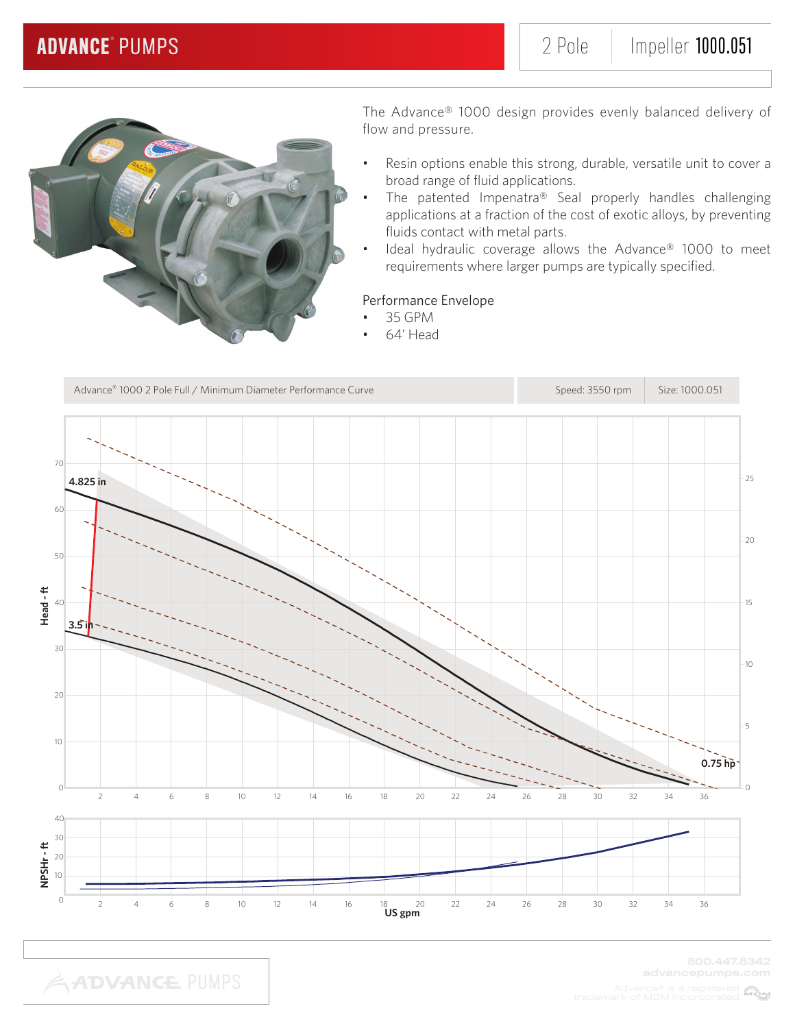

- Resin options enable this strong, durable, versatile unit to cover a broad range of fluid applications.
- The patented Impenatra® Seal properly handles challenging applications at a fraction of the cost of exotic alloys, by preventing fluids contact with metal parts.
- Ideal hydraulic coverage allows the Advance® 1000 to meet requirements where larger pumps are typically specified.

### Performance Envelope

- 35 GPM
	- 64' Head

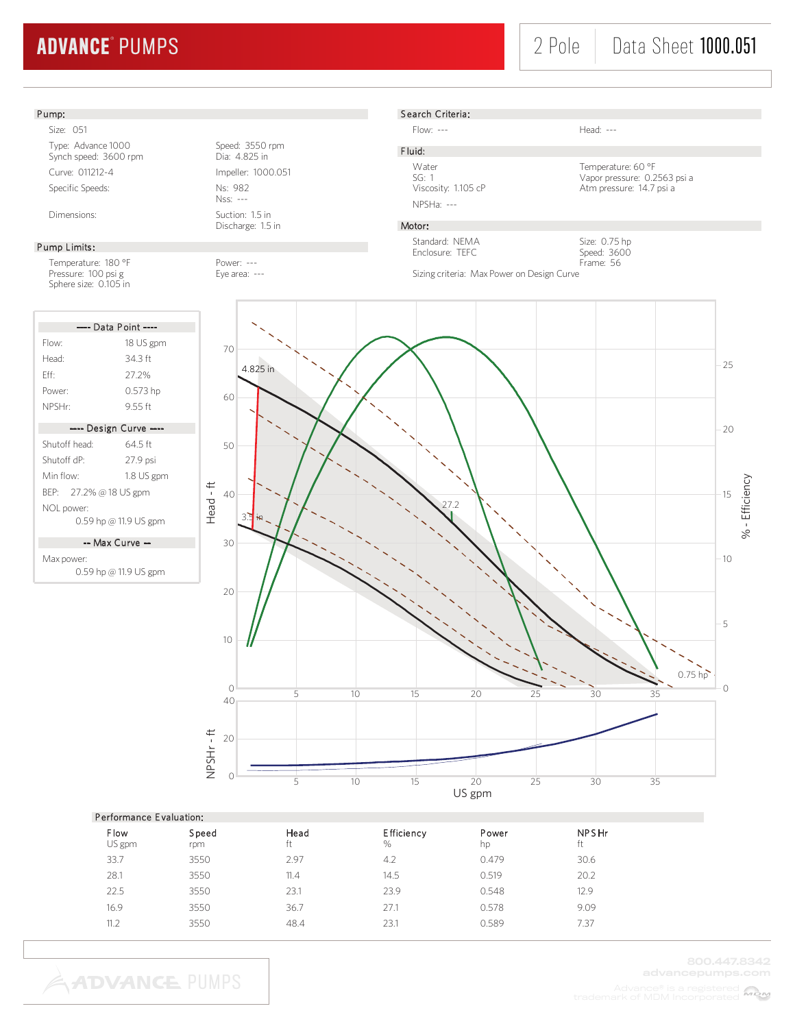# 2 Pole | Data Sheet 1000.051

### Pump:

Size: 051 Type: Advance 1000<br>
Synch speed: 3600 rpm<br>
Dia: 4.825 in Synch speed: 3600 rpm Curve: 011212-4 Impeller: 1000.051 Specific Speeds: Ns: 982

#### Pump Limits:

Temperature: 180 °F Power: ---<br>Pressure: 100 psi g Pressure: ---Pressure: 100 psi g Sphere size: 0.105 in

|                         | ---- Data Point ----   |
|-------------------------|------------------------|
| Flow:                   | 18 US gpm              |
| Head:                   | 34 3 ft                |
| Fff                     | 27.2%                  |
| Power:                  | 0.573 hp               |
| NPSHr:                  | 955 ft                 |
|                         | ---- Design Curve ---- |
| Shutoff head:           | 64 5 ft                |
| Shutoff dP <sup>.</sup> | 27.9 psi               |
| Min flow <sup>.</sup>   | 1.8 US gpm             |
| BEP: 27.2% @ 18 US gpm  |                        |
| NOL power:              |                        |
|                         | 0.59 hp @ 11.9 US gpm  |

-- Max Curve --

Max power: 0.59 hp @ 11.9 US gpm

Nss: --- Dimensions: Suction: 1.5 in

Discharge: 1.5 in

Search Criteria:

Flow: --- Head: ---

Sizing criteria: Max Power on Design Curve

F luid:

NPSHa: ---

Water Temperature: 60 °F<br>SG: 1 Vapor pressure: 0.2 SG: 1<br>Viscosity: 1.105 cP<br>Atm pressure: 14.7 psi a<br>Atm pressure: 14.7 psi a Atm pressure: 14.7 psi a

> Size: 0.75 hp Speed: 3600 Frame: 56

### Motor:

Standard: NEMA Enclosure: TEFC



|                       | Performance Evaluation: |            |                        |             |                    |  |  |  |  |  |
|-----------------------|-------------------------|------------|------------------------|-------------|--------------------|--|--|--|--|--|
| <b>Flow</b><br>US gpm | Speed<br>rpm            | Head<br>ft | <b>Efficiency</b><br>% | Power<br>hp | <b>NPSHr</b><br>ft |  |  |  |  |  |
| 33.7                  | 3550                    | 2.97       | 4.2                    | 0.479       | 30.6               |  |  |  |  |  |
| 28.1                  | 3550                    | 11.4       | 14.5                   | 0.519       | 20.2               |  |  |  |  |  |
| 22.5                  | 3550                    | 23.1       | 23.9                   | 0.548       | 12.9               |  |  |  |  |  |
| 16.9                  | 3550                    | 36.7       | 27.1                   | 0.578       | 9.09               |  |  |  |  |  |
| 11.2                  | 3550                    | 48.4       | 23.1                   | 0.589       | 7.37               |  |  |  |  |  |
|                       |                         |            |                        |             |                    |  |  |  |  |  |

**ADVANCE PUMPS**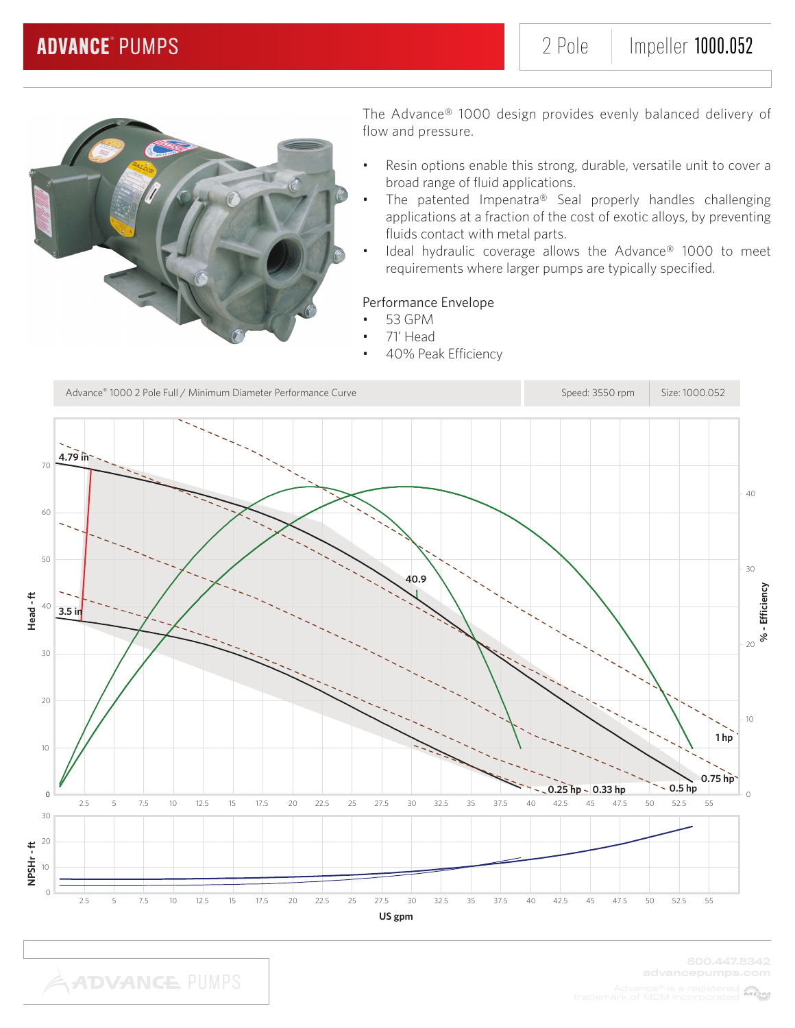

- Resin options enable this strong, durable, versatile unit to cover a broad range of fluid applications.
- The patented Impenatra® Seal properly handles challenging applications at a fraction of the cost of exotic alloys, by preventing fluids contact with metal parts.
- Ideal hydraulic coverage allows the Advance® 1000 to meet requirements where larger pumps are typically specified.

### Performance Envelope

- 53 GPM
- 71' Head
- 40% Peak Efficiency

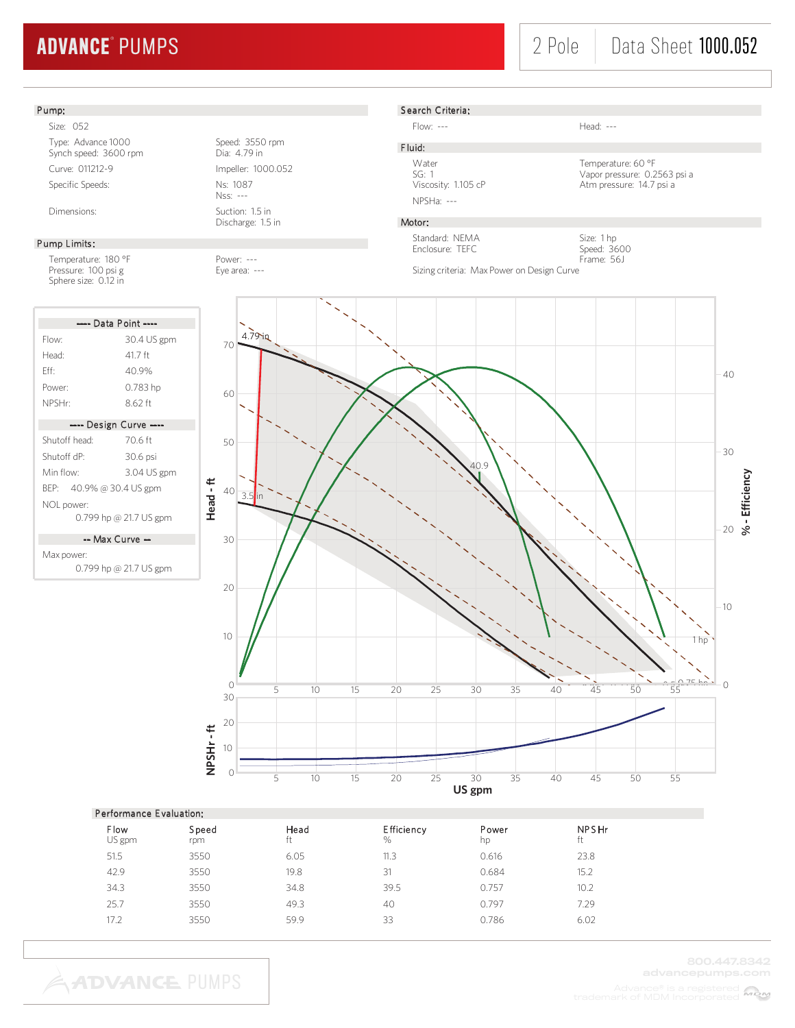# 2 Pole | Data Sheet 1000.052

### Pump:

Size: 052 Type: Advance 1000<br>
Synch speed: 3600 rpm<br>
Dia: 4.79 in Synch speed: 3600 rpm Curve: 011212-9 Impeller: 1000.052 Specific Speeds: Ns: 1087

#### Pump Limits:

Temperature: 180 °F Power: ---<br>Pressure: 100 psi g extends the Eye area: ---Pressure: 100 psi g Sphere size: 0.12 in

| ---- Data Point ----     |             |  |  |  |  |
|--------------------------|-------------|--|--|--|--|
| Flow:                    | 30.4 US gpm |  |  |  |  |
| Head <sup>.</sup>        | 41 7 ft     |  |  |  |  |
| Fff·                     | 40.9%       |  |  |  |  |
| Power:                   | 0.783 hp    |  |  |  |  |
| NPSHr:                   | 862 ft      |  |  |  |  |
|                          |             |  |  |  |  |
| ---- Design Curve ----   |             |  |  |  |  |
| Shutoff head:            | 706 ft      |  |  |  |  |
| Shutoff dP <sup>.</sup>  | 30.6 psi    |  |  |  |  |
| Min flow:                | 3.04 US gpm |  |  |  |  |
| BEP: 40.9% @ 30.4 US gpm |             |  |  |  |  |

0.799 hp @ 21.7 US gpm -- Max Curve --

Max power:

NOL power:

0.799 hp @ 21.7 US gpm

Nss: --- Dimensions: Suction: 1.5 in

Discharge: 1.5 in



NPSHa: ---

Flow: --- Head: ---

F luid:

Water Temperature: 60 °F<br>SG: 1 Vapor pressure: 0.2 SG: 1 Vapor pressure: 0.2563 psi a Atm pressure: 14.7 psi a

### Motor:

Standard: NEMA Enclosure: TEFC

Size: 1 hp Speed: 3600 Frame: 56J

Sizing criteria: Max Power on Design Curve



#### Performance E valuation:

| Flow<br>US gpm | Speed<br>rpm | Head<br>ft | <b>Efficiency</b><br>% | Power<br>hp | <b>NPSHr</b><br>ft |  |
|----------------|--------------|------------|------------------------|-------------|--------------------|--|
| 51.5           | 3550         | 6.05       | 11.3                   | 0.616       | 23.8               |  |
| 42.9           | 3550         | 19.8       | 31                     | 0.684       | 15.2               |  |
| 34.3           | 3550         | 34.8       | 39.5                   | 0.757       | 10.2               |  |
| 25.7           | 3550         | 49.3       | 40                     | 0.797       | 7.29               |  |
| 17.2           | 3550         | 59.9       | 33                     | 0.786       | 6.02               |  |
|                |              |            |                        |             |                    |  |

**ADVANCE PUMPS**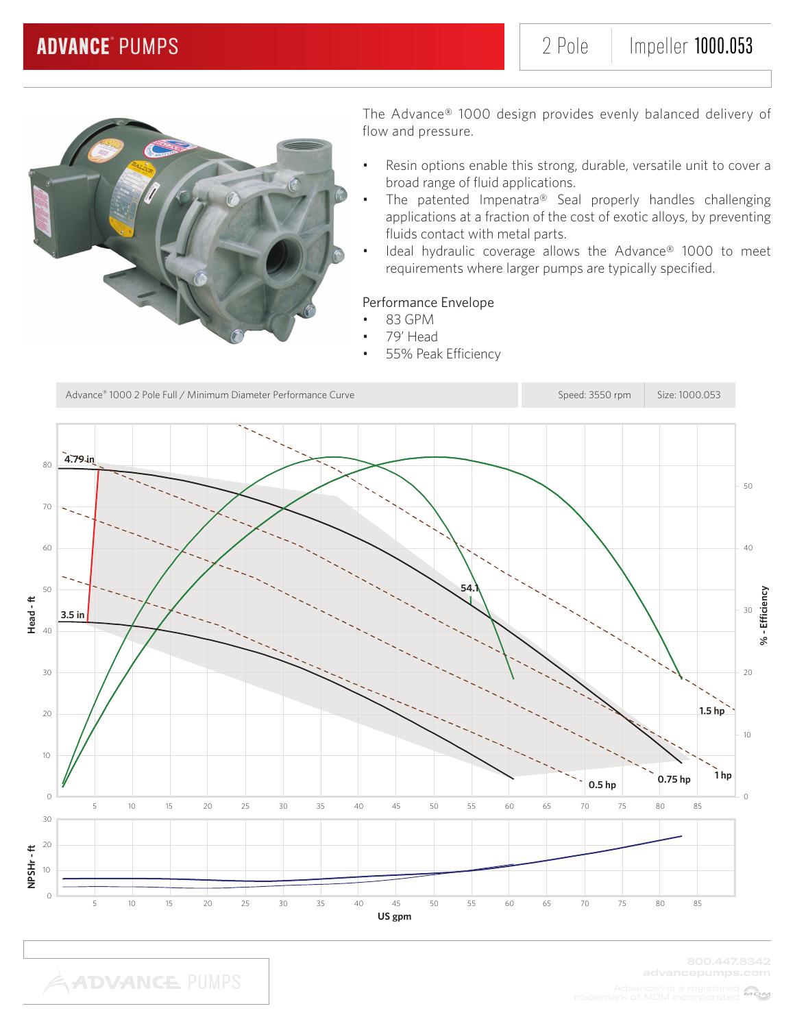

- Resin options enable this strong, durable, versatile unit to cover a broad range of fluid applications.
- The patented Impenatra® Seal properly handles challenging applications at a fraction of the cost of exotic alloys, by preventing fluids contact with metal parts.
- Ideal hydraulic coverage allows the Advance® 1000 to meet requirements where larger pumps are typically specified.

### Performance Envelope

- 83 GPM
	- 79' Head
- 55% Peak Efficiency



MBM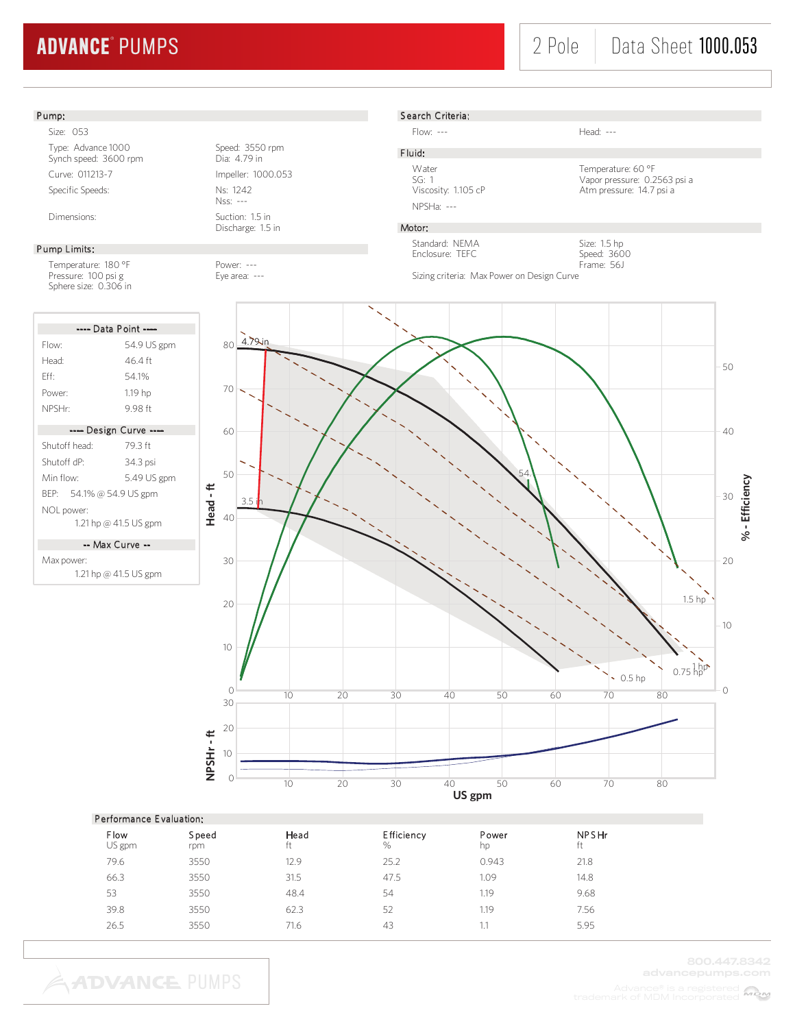# 2 Pole | Data Sheet **1000.053**



| Flow<br>US gpm | Speed<br>rpm | Head<br>ft | <b>Efficiency</b><br>% | Power<br>hp | <b>NPSHr</b><br>ft |  |
|----------------|--------------|------------|------------------------|-------------|--------------------|--|
| 79.6           | 3550         | 12.9       | 25.2                   | 0.943       | 21.8               |  |
| 66.3           | 3550         | 31.5       | 47.5                   | 1.09        | 14.8               |  |
| 53             | 3550         | 48.4       | 54                     | 1.19        | 9.68               |  |
| 39.8           | 3550         | 62.3       | 52                     | 1.19        | 7.56               |  |
| 26.5           | 3550         | 71.6       | 43                     | IJ          | 5.95               |  |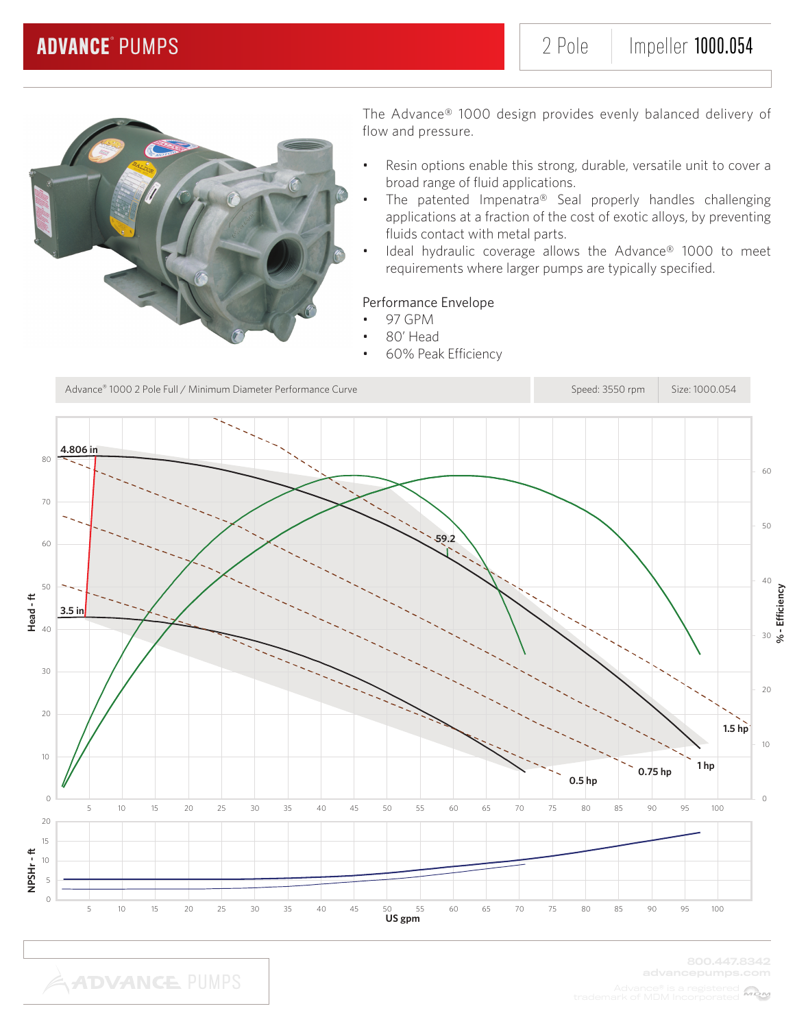

- Resin options enable this strong, durable, versatile unit to cover a broad range of fluid applications.
- The patented Impenatra® Seal properly handles challenging applications at a fraction of the cost of exotic alloys, by preventing fluids contact with metal parts.
- Ideal hydraulic coverage allows the Advance® 1000 to meet requirements where larger pumps are typically specified.

### Performance Envelope

- 97 GPM
	- 80' Head
- 60% Peak Efficiency

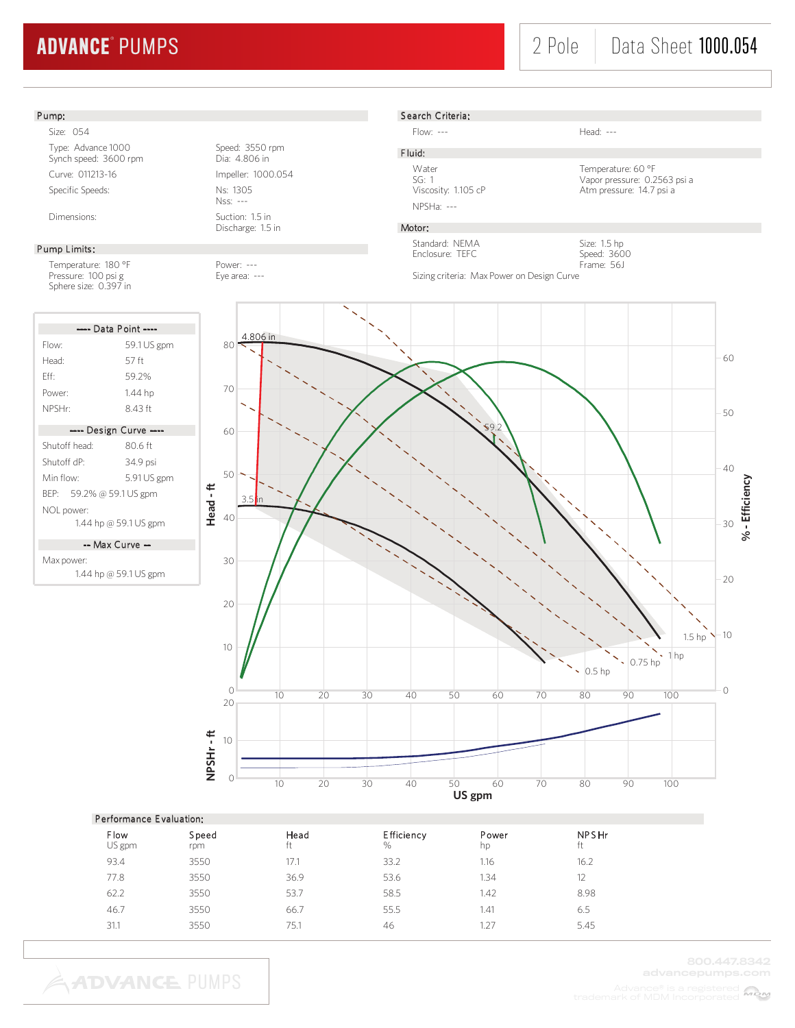**ADVANCE PUMPS** 

# 2 Pole | Data Sheet **1000.054**



31.1 3550 75.1 46 1.27 5.45

MOM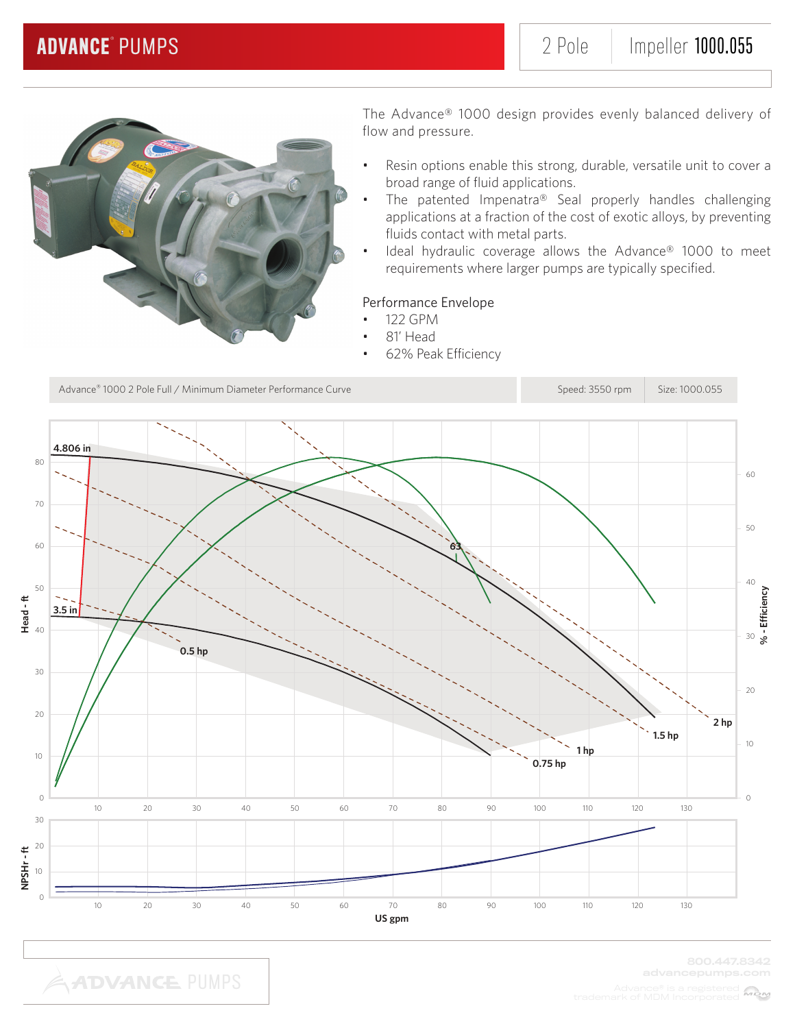

- Resin options enable this strong, durable, versatile unit to cover a broad range of fluid applications.
- The patented Impenatra® Seal properly handles challenging applications at a fraction of the cost of exotic alloys, by preventing fluids contact with metal parts.
- Ideal hydraulic coverage allows the Advance® 1000 to meet requirements where larger pumps are typically specified.

### Performance Envelope

- 122 GPM
- 81' Head
- 62% Peak Efficiency

Advance® 1000 2 Pole Full / Minimum Diameter Performance Curve Speed: 3550 rpm Size: 1000.055 **4.806 in** 80 60 70 50 60 **63** 40 50 **% - Efficiency**  $\sim$  . **Head - ft** 40 **3.5 in**  $\overline{\mathbb{Z}}$ 30 **0.5 hp** 30  $20$ 20 **2 hp 1.5 hp** 10 **1 hp** 10 **0.75 hp** 0  $\overline{0}$ 10 20 30 40 50 60 70 80 90 100 110 120 130 30 20 NPSHr-ft **NPSHr - ft** 10  $\overline{O}$ 10 20 30 40 50 60 70 80 90 100 110 120 130 **US gpm**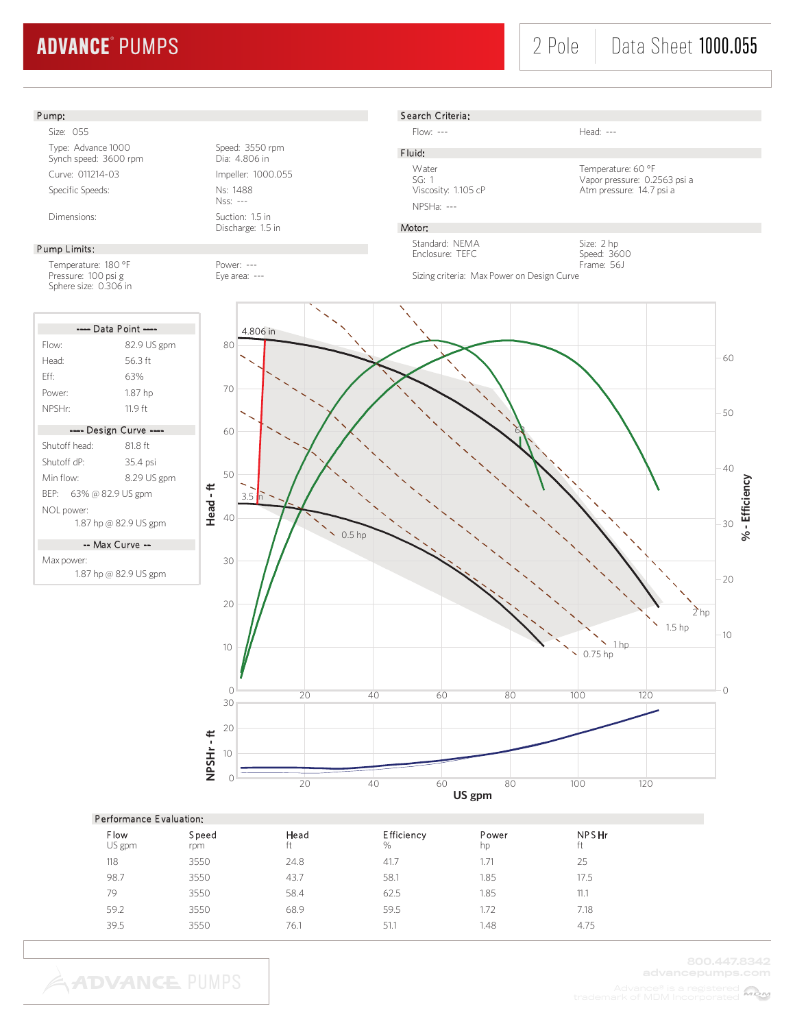# 2 Pole | Data Sheet **1000.055**



| Feriormance Evaluation. |              |            |                        |             |                    |  |  |  |
|-------------------------|--------------|------------|------------------------|-------------|--------------------|--|--|--|
| Flow<br>US gpm          | Speed<br>rpm | Head<br>ft | <b>Efficiency</b><br>% | Power<br>hp | <b>NPSHr</b><br>ft |  |  |  |
| 118                     | 3550         | 24.8       | 41.7                   | .71         | 25                 |  |  |  |
| 98.7                    | 3550         | 43.7       | 58.1                   | 1.85        | 17.5               |  |  |  |
| 79                      | 3550         | 58.4       | 62.5                   | 1.85        | 11.1               |  |  |  |
| 59.2                    | 3550         | 68.9       | 59.5                   | 1.72        | 7.18               |  |  |  |
| 39.5                    | 3550         | 76.1       | 51.1                   | 1.48        | 4.75               |  |  |  |
|                         |              |            |                        |             |                    |  |  |  |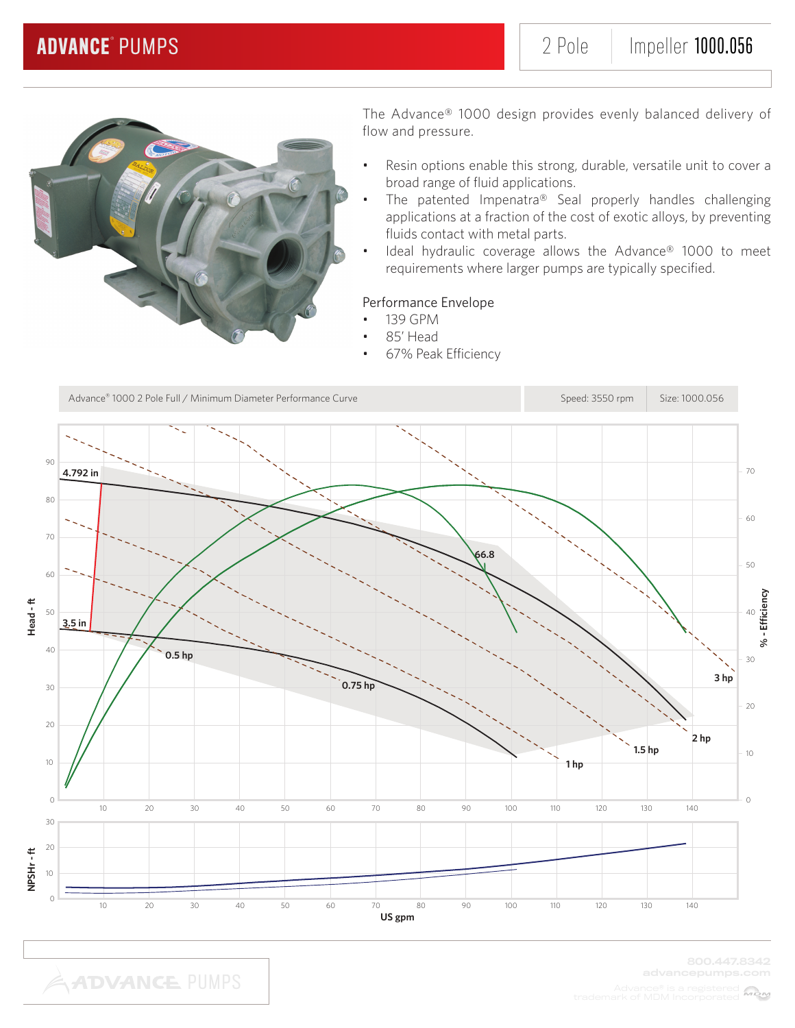

- Resin options enable this strong, durable, versatile unit to cover a broad range of fluid applications.
- The patented Impenatra® Seal properly handles challenging applications at a fraction of the cost of exotic alloys, by preventing fluids contact with metal parts.
- Ideal hydraulic coverage allows the Advance® 1000 to meet requirements where larger pumps are typically specified.

### Performance Envelope

- 139 GPM
	- 85' Head
- 67% Peak Efficiency

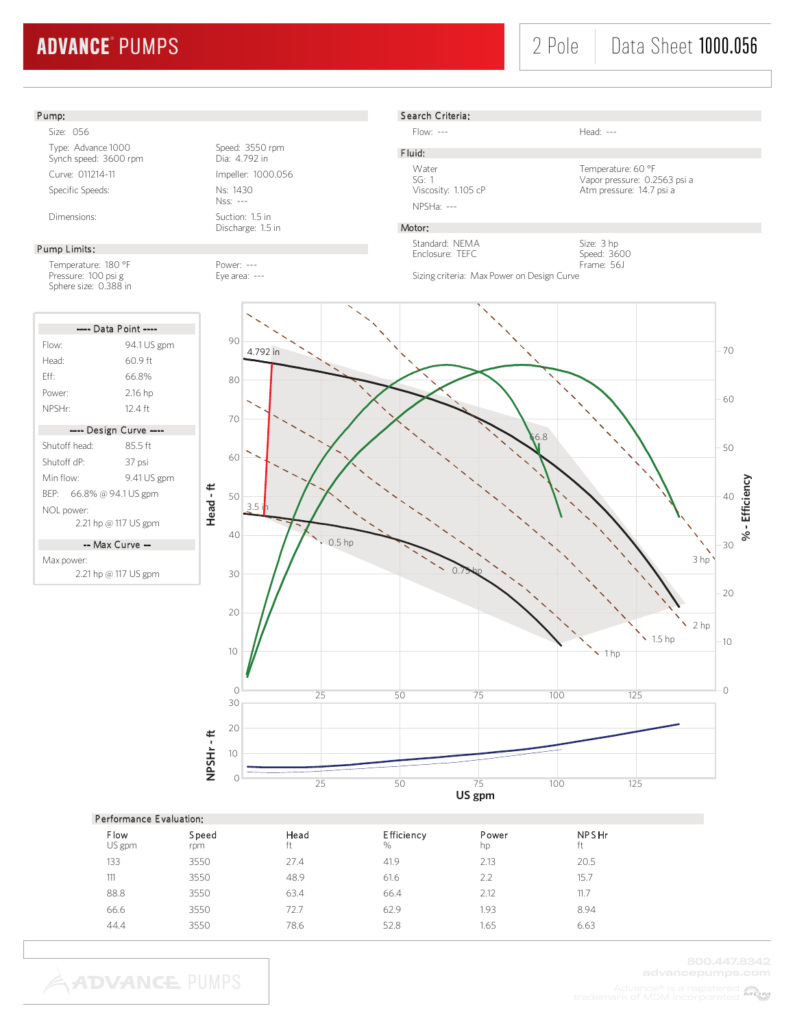# 2 Pole | Data Sheet **1000.056**

#### S earch Criteria: Pump: Size: 056 Flow: --- Head: --- Type: Advance 1000<br>
Synch speed: 3600 rpm<br>
Dia: 4.792 in F luid: Synch speed: 3600 rpm Water Temperature: 60 °F Curve: 011214-11 Impeller: 1000.056 SG: 1 Vapor pressure: 0.2563 psi a Specific Speeds: Ns: 1430 Atm pressure: 14.7 psi a Nss: --- NPSHa: --- Dimensions: Suction: 1.5 in Discharge: 1.5 in Motor: Standard: NEMA Size: 3 hp Pump Limits: Enclosure: TEFC Speed: 3600 Frame: 56J Temperature: 180 °F Power: ---<br>Pressure: 100 psi g extends the Eye area: ---Sizing criteria: Max Power on Design Curve Pressure: 100 psi g extending the Eye area: ---Sphere size: 0.388 in ---- Data Point ---- $90$ Flow: 94.1 US gpm 70 4.792 in Head: 60.9 ft Eff: 66.8% 80 Power: 2.16 hp 60 NPSHr: 12.4 ft 70 ---- Design Curve ---- 66.8 Shutoff head: 85.5 ft 50 60 Shutoff dP: 37 psi Min flow: 9.41 US gpm % - Efficiency **- Efficiency Head - ft** BEP: 66.8% @ 94.1 US gpm 40 50  $\overline{2}$ NOL power: 2.21 hp @ 117 US gpm 40 0.5 hp 30 -- Max Curve -- 3 hp Max power: 2.21 hp @ 117 US gpm  $0.75$  hp 30 20 20 2 hp  $\frac{1.5}{1.5}$  hp 10 10  $\cdot$  1 hp  $\overline{O}$  $\frac{1}{25}$  100  $\frac{1}{25}$  125 25 50 75 100 30 20 NPSHr-ft **NPSHr - ft** 10  $\frac{1}{25}$  50  $\frac{1}{75}$  100 125 **US gpm**

|                       | <b>Performance Evaluation:</b> |            |                        |             |                    |  |  |  |
|-----------------------|--------------------------------|------------|------------------------|-------------|--------------------|--|--|--|
| <b>Flow</b><br>US gpm | Speed<br>rpm                   | Head<br>ft | <b>Efficiency</b><br>% | Power<br>hp | <b>NPSHr</b><br>ft |  |  |  |
| 133                   | 3550                           | 27.4       | 41.9                   | 2.13        | 20.5               |  |  |  |
| 111                   | 3550                           | 48.9       | 61.6                   | 2.2         | 15.7               |  |  |  |
| 88.8                  | 3550                           | 63.4       | 66.4                   | 2.12        | 11.7               |  |  |  |
| 66.6                  | 3550                           | 72.7       | 62.9                   | 1.93        | 8.94               |  |  |  |
| 44.4                  | 3550                           | 78.6       | 52.8                   | 1.65        | 6.63               |  |  |  |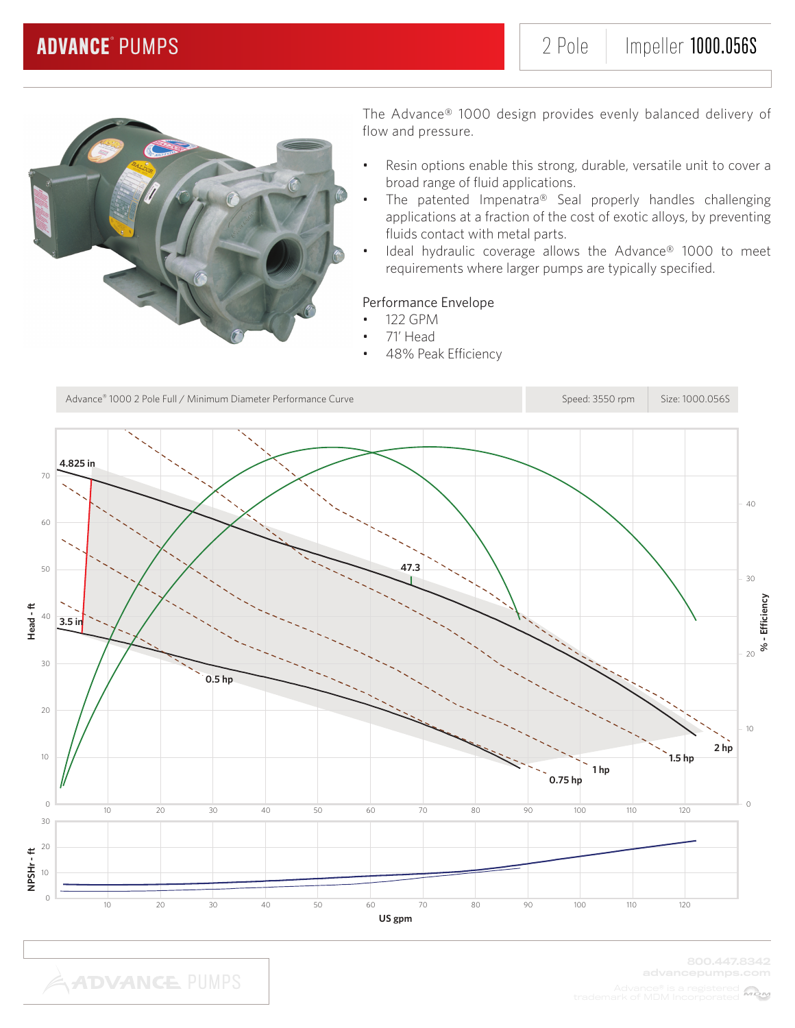

- Resin options enable this strong, durable, versatile unit to cover a broad range of fluid applications.
- The patented Impenatra® Seal properly handles challenging applications at a fraction of the cost of exotic alloys, by preventing fluids contact with metal parts.
- Ideal hydraulic coverage allows the Advance® 1000 to meet requirements where larger pumps are typically specified.

### Performance Envelope

- 122 GPM
	- 71' Head
- 48% Peak Efficiency

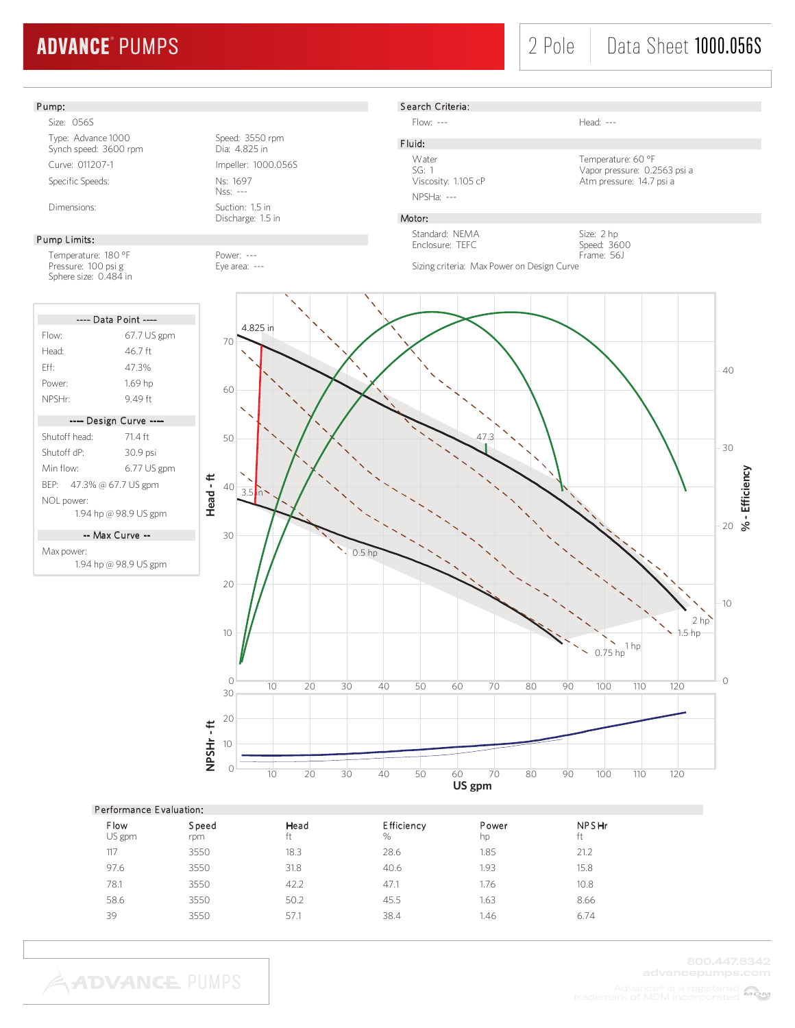# 2 Pole | Data Sheet 1000.056S

### Pump:

Size: 056S Type: Advance 1000<br>
Synch speed: 3600 rpm<br>
Dia: 4.825 in Synch speed: 3600 rpm Curve: 011207-1 Impeller: 1000.056S Specific Speeds: Ns: 1697

#### Pump Limits:

Temperature: 180 °F Power: ---Pressure: 100 psi g Eye area: ---Sphere size: 0.484 in

|                          | ---- Data Point ----   |
|--------------------------|------------------------|
| Flow:                    | $67.7$ US gpm          |
| Head <sup>.</sup>        | 46 7 ft                |
| Fff                      | 473%                   |
| Power:                   | $1.69$ hp              |
| NPSHr <sup>.</sup>       | 949 ft                 |
|                          | ---- Design Curve ---- |
| Shutoff head:            | 714 ft                 |
| Shutoff dP <sup>.</sup>  | 30.9 psi               |
| Min flow <sup>.</sup>    | $6.77$ US gpm          |
| BEP: 47.3% @ 67.7 US gpm |                        |
| NOL power:               |                        |
|                          | 1.94 hp @ 98.9 US gpm  |
|                          |                        |

-- Max Curve --

Max power: 1.94 hp @ 98.9 US gpm

Nss: --- Dimensions: Suction: 1.5 in





Flow: --- Head: ---

### F luid:

Viscosity: 1.105 cP Atm pressure: 14.7 psi a NPSHa: ---

Water **Temperature: 60 °F** SG: 1 Vapor pressure: 0.2563 psi a

## Motor:

Standard: NEMA Enclosure: TEFC

Size: 2 hp Speed: 3600 Frame: 56J

Sizing criteria: Max Power on Design Curve



#### Performance E valuation:

**ADVANCE PUMPS** 

| <b>Flow</b><br>US gpm | Speed<br>rpm | Head<br>ft | <b>Efficiency</b><br>$\%$ | Power<br>hp | <b>NPSHr</b><br>ft |
|-----------------------|--------------|------------|---------------------------|-------------|--------------------|
| 117                   | 3550         | 18.3       | 28.6                      | 1.85        | 21.2               |
| 97.6                  | 3550         | 31.8       | 40.6                      | 1.93        | 15.8               |
| 78.1                  | 3550         | 42.2       | 47.1                      | 1.76        | 10.8               |
| 58.6                  | 3550         | 50.2       | 45.5                      | 1.63        | 8.66               |
| 39                    | 3550         | 57.1       | 38.4                      | 1.46        | 6.74               |
|                       |              |            |                           |             |                    |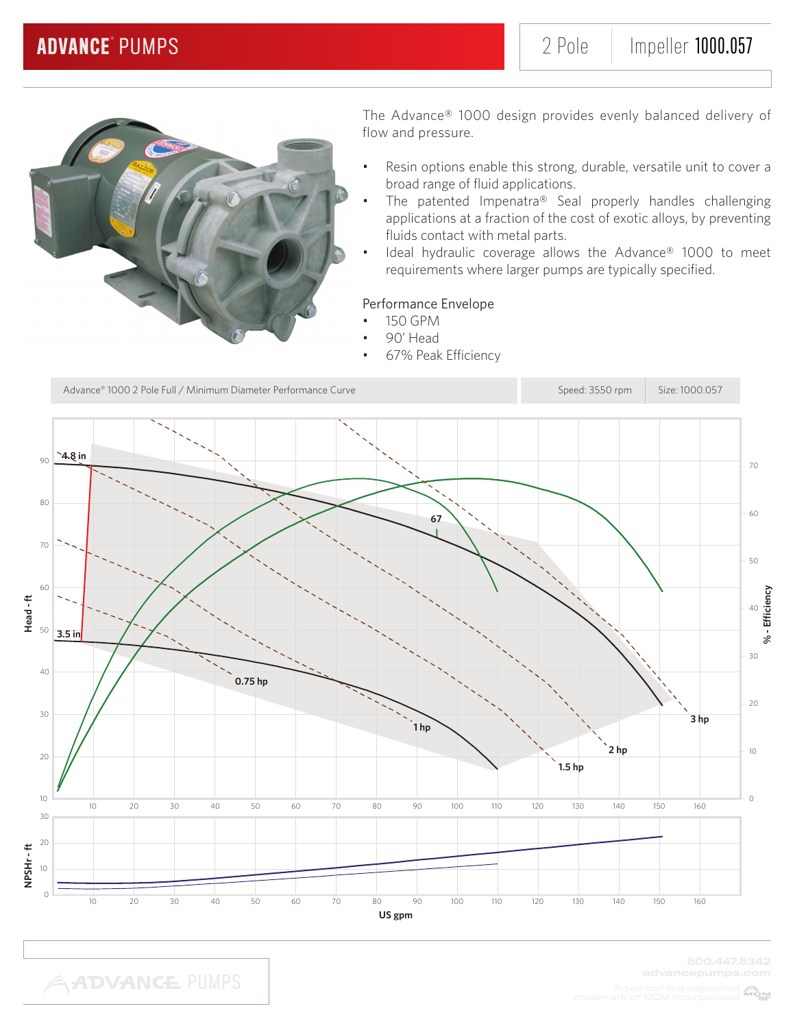

- Resin options enable this strong, durable, versatile unit to cover a broad range of fluid applications.
- The patented Impenatra® Seal properly handles challenging applications at a fraction of the cost of exotic alloys, by preventing fluids contact with metal parts.
- Ideal hydraulic coverage allows the Advance® 1000 to meet requirements where larger pumps are typically specified.

### Performance Envelope

- 150 GPM
- 90' Head
- 67% Peak Efficiency